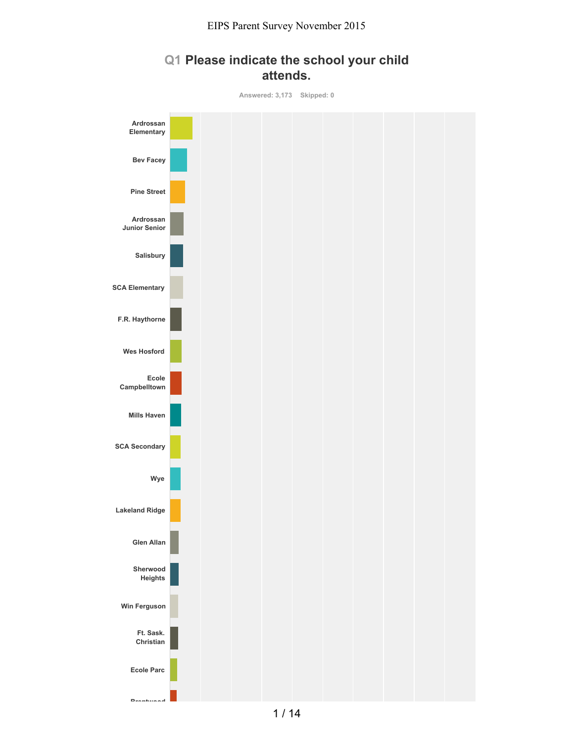## **Q1 Please indicate the school your child attends.**

**Answered: 3,173 Skipped: 0 Ardrossan Elementary Bev Facey Pine Street Ardrossan Junior Senior Salisbury SCA Elementary F.R. Haythorne Wes Hosford Ecole Campbelltown Mills Haven SCA Secondary Wye Lakeland Ridge Glen Allan Sherwood Heights Win Ferguson Ft. Sask. Christian Ecole Parc**

**Brentwood**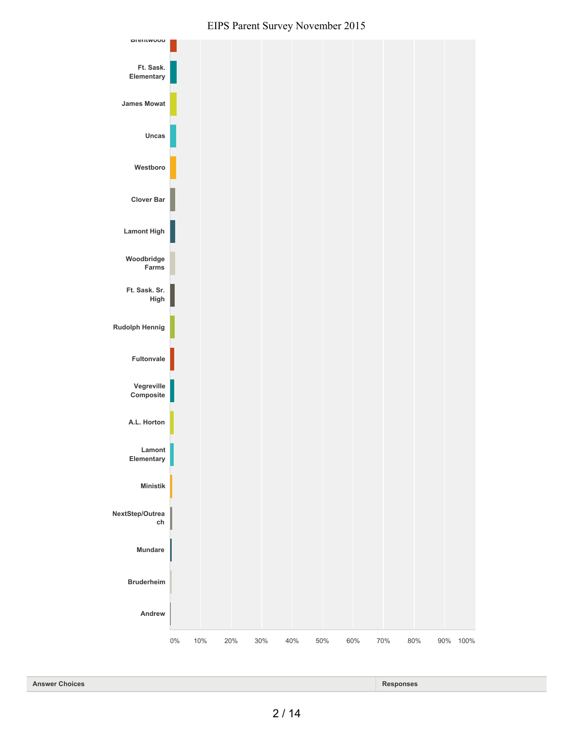

0% 10% 20% 30% 40% 50% 60% 70% 80% 90% 100%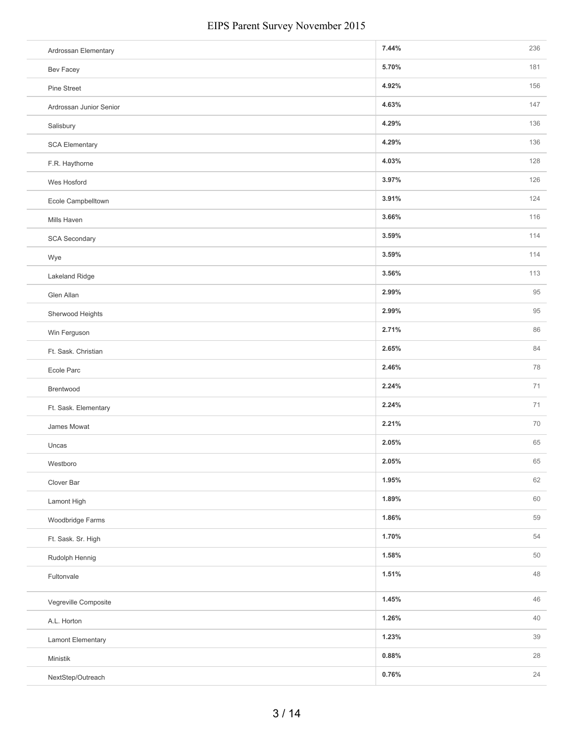| Ardrossan Elementary    | 7.44% | 236 |
|-------------------------|-------|-----|
| Bev Facey               | 5.70% | 181 |
| Pine Street             | 4.92% | 156 |
| Ardrossan Junior Senior | 4.63% | 147 |
| Salisbury               | 4.29% | 136 |
| <b>SCA Elementary</b>   | 4.29% | 136 |
| F.R. Haythorne          | 4.03% | 128 |
| Wes Hosford             | 3.97% | 126 |
| Ecole Campbelltown      | 3.91% | 124 |
| Mills Haven             | 3.66% | 116 |
| SCA Secondary           | 3.59% | 114 |
| Wye                     | 3.59% | 114 |
| Lakeland Ridge          | 3.56% | 113 |
| Glen Allan              | 2.99% | 95  |
| Sherwood Heights        | 2.99% | 95  |
| Win Ferguson            | 2.71% | 86  |
| Ft. Sask. Christian     | 2.65% | 84  |
| Ecole Parc              | 2.46% | 78  |
| Brentwood               | 2.24% | 71  |
| Ft. Sask. Elementary    | 2.24% | 71  |
| James Mowat             | 2.21% | 70  |
| Uncas                   | 2.05% | 65  |
| Westboro                | 2.05% | 65  |
| Clover Bar              | 1.95% | 62  |
| Lamont High             | 1.89% | 60  |
| Woodbridge Farms        | 1.86% | 59  |
| Ft. Sask. Sr. High      | 1.70% | 54  |
| Rudolph Hennig          | 1.58% | 50  |
| Fultonvale              | 1.51% | 48  |
| Vegreville Composite    | 1.45% | 46  |
| A.L. Horton             | 1.26% | 40  |
| Lamont Elementary       | 1.23% | 39  |
| Ministik                | 0.88% | 28  |
| NextStep/Outreach       | 0.76% | 24  |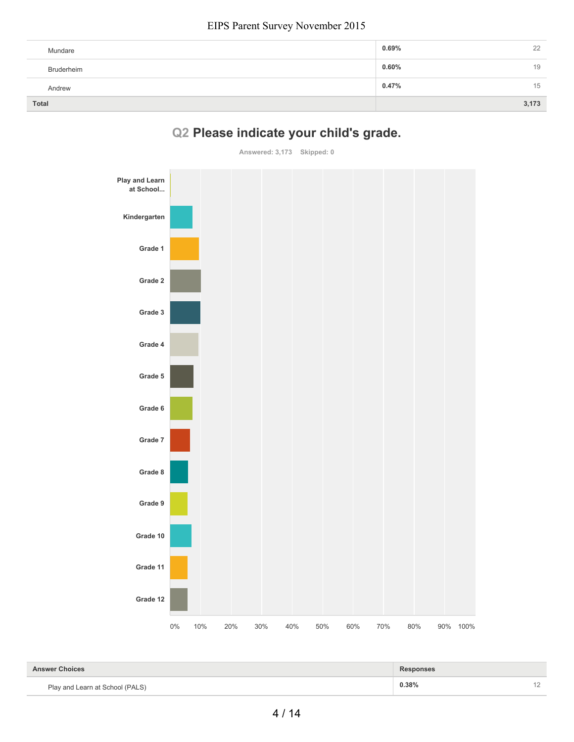| Mundare    | $0.69\%$ | 22    |
|------------|----------|-------|
| Bruderheim | $0.60\%$ | 19    |
| Andrew     | 0.47%    | 15    |
| Total      |          | 3,173 |

# **Q2 Please indicate your child's grade.**

**Answered: 3,173 Skipped: 0**



| <b>Answer Choices</b>           | <b>Responses</b> |  |
|---------------------------------|------------------|--|
| Play and Learn at School (PALS) | 0.38%            |  |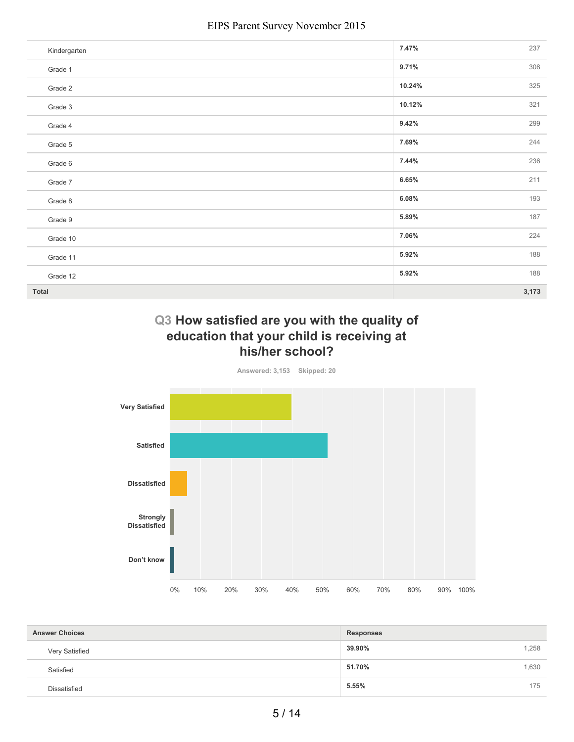| Kindergarten | 7.47%  | 237   |
|--------------|--------|-------|
| Grade 1      | 9.71%  | 308   |
| Grade 2      | 10.24% | 325   |
| Grade 3      | 10.12% | 321   |
| Grade 4      | 9.42%  | 299   |
| Grade 5      | 7.69%  | 244   |
| Grade 6      | 7.44%  | 236   |
| Grade 7      | 6.65%  | 211   |
| Grade 8      | 6.08%  | 193   |
| Grade 9      | 5.89%  | 187   |
| Grade 10     | 7.06%  | 224   |
| Grade 11     | 5.92%  | 188   |
| Grade 12     | 5.92%  | 188   |
| Total        |        | 3,173 |

### **Q3 How satisfied are you with the quality of education that your child is receiving at his/her school?**

**Answered: 3,153 Skipped: 20**



| <b>Answer Choices</b> | Responses       |
|-----------------------|-----------------|
| Very Satisfied        | 1,258<br>39.90% |
| Satisfied             | 1,630<br>51.70% |
| <b>Dissatisfied</b>   | 175<br>5.55%    |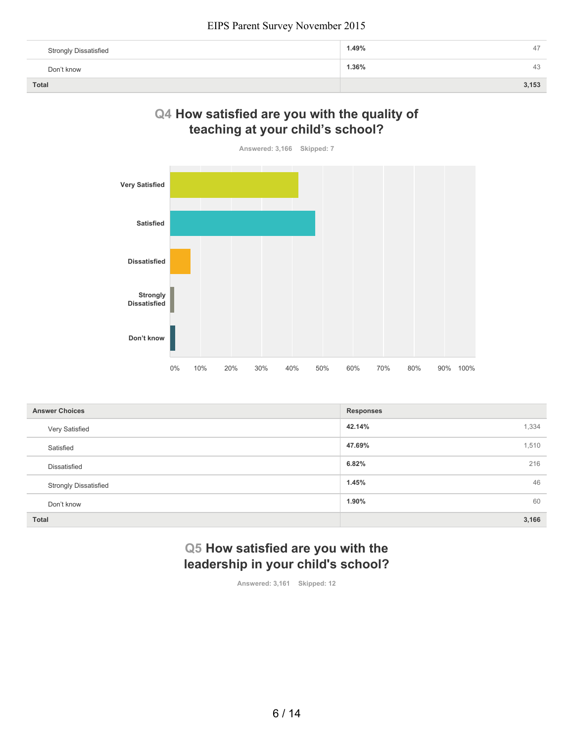| <b>Strongly Dissatisfied</b> | 1.49%<br>47 |
|------------------------------|-------------|
| Don't know                   | 1.36%<br>43 |
| <b>Total</b>                 | 3,153       |

## **Q4 How satisfied are you with the quality of teaching at your child's school?**

**Answered: 3,166 Skipped: 7**



| <b>Answer Choices</b>        | <b>Responses</b> |
|------------------------------|------------------|
| Very Satisfied               | 42.14%<br>1,334  |
| Satisfied                    | 47.69%<br>1,510  |
| Dissatisfied                 | 216<br>6.82%     |
| <b>Strongly Dissatisfied</b> | 46<br>1.45%      |
| Don't know                   | 60<br>1.90%      |
| Total                        | 3,166            |

## **Q5 How satisfied are you with the leadership in your child's school?**

**Answered: 3,161 Skipped: 12**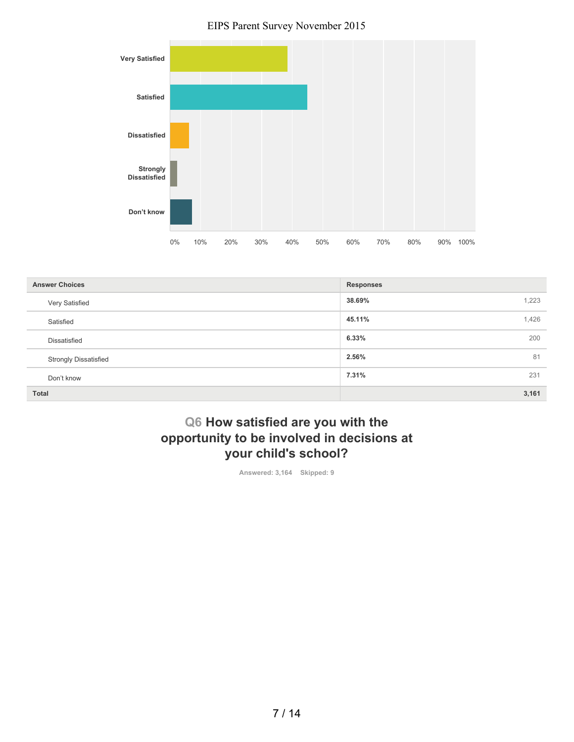

| <b>Answer Choices</b>        | <b>Responses</b> |
|------------------------------|------------------|
| Very Satisfied               | 38.69%<br>1,223  |
| Satisfied                    | 1,426<br>45.11%  |
| Dissatisfied                 | 6.33%<br>200     |
| <b>Strongly Dissatisfied</b> | 81<br>2.56%      |
| Don't know                   | 7.31%<br>231     |
| <b>Total</b>                 | 3,161            |

## **Q6 How satisfied are you with the opportunity to be involved in decisions at your child's school?**

**Answered: 3,164 Skipped: 9**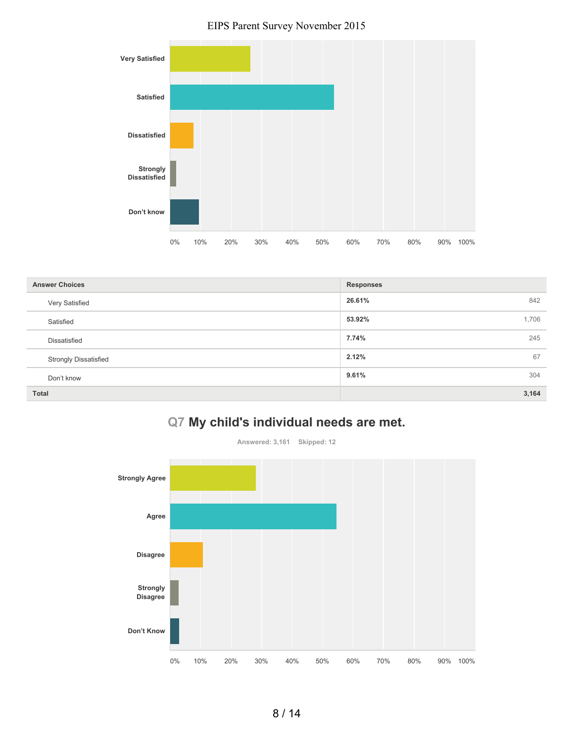

| <b>Answer Choices</b>        | <b>Responses</b> |
|------------------------------|------------------|
| Very Satisfied               | 26.61%<br>842    |
| Satisfied                    | 53.92%<br>1,706  |
| <b>Dissatisfied</b>          | 7.74%<br>245     |
| <b>Strongly Dissatisfied</b> | 67<br>2.12%      |
| Don't know                   | 9.61%<br>304     |
| <b>Total</b>                 | 3,164            |

## **Q7 My child's individual needs are met.**

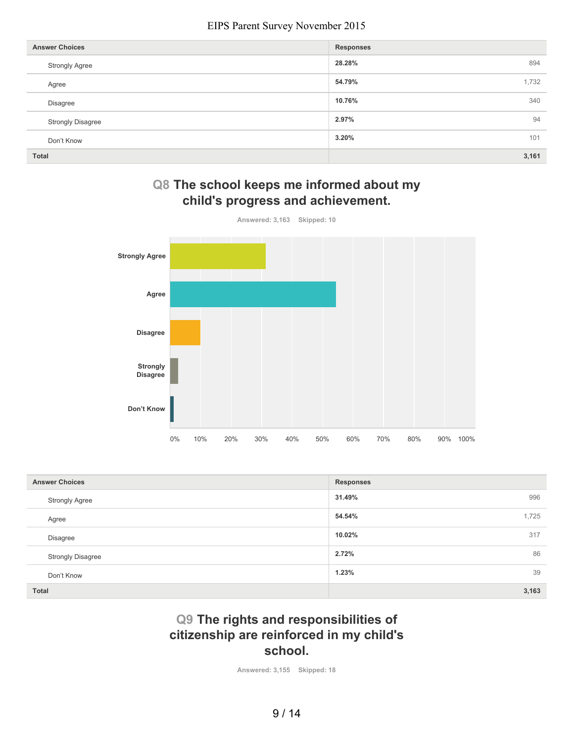| <b>Answer Choices</b>    | <b>Responses</b> |
|--------------------------|------------------|
| <b>Strongly Agree</b>    | 28.28%<br>894    |
| Agree                    | 1,732<br>54.79%  |
| Disagree                 | 340<br>10.76%    |
| <b>Strongly Disagree</b> | 94<br>2.97%      |
| Don't Know               | 3.20%<br>101     |
| <b>Total</b>             | 3,161            |

## **Q8 The school keeps me informed about my child's progress and achievement.**



| <b>Answer Choices</b>    | <b>Responses</b> |
|--------------------------|------------------|
| <b>Strongly Agree</b>    | 31.49%<br>996    |
| Agree                    | 54.54%<br>1,725  |
| Disagree                 | 10.02%<br>317    |
| <b>Strongly Disagree</b> | 86<br>2.72%      |
| Don't Know               | 39<br>1.23%      |
| <b>Total</b>             | 3,163            |

## **Q9 The rights and responsibilities of citizenship are reinforced in my child's school.**

**Answered: 3,155 Skipped: 18**

9 / 14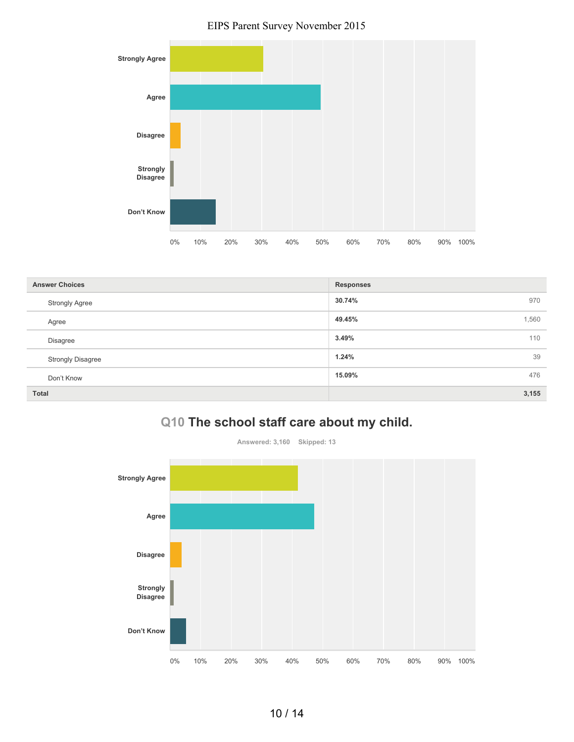

| <b>Answer Choices</b>    | <b>Responses</b> |
|--------------------------|------------------|
| <b>Strongly Agree</b>    | 30.74%<br>970    |
| Agree                    | 49.45%<br>1,560  |
| Disagree                 | 3.49%<br>110     |
| <b>Strongly Disagree</b> | 39<br>1.24%      |
| Don't Know               | 15.09%<br>476    |
| <b>Total</b>             | 3,155            |

## **Q10 The school staff care about my child.**

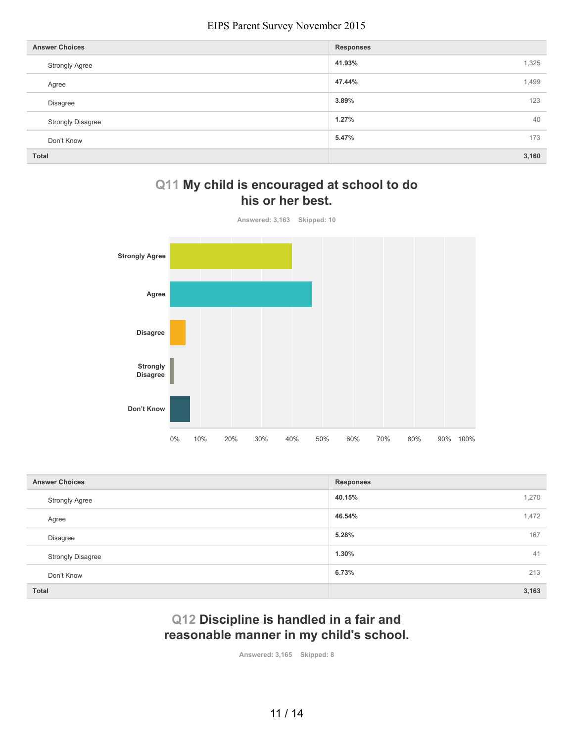| <b>Answer Choices</b>    | <b>Responses</b> |
|--------------------------|------------------|
| <b>Strongly Agree</b>    | 41.93%<br>1,325  |
| Agree                    | 1,499<br>47.44%  |
| Disagree                 | 123<br>3.89%     |
| <b>Strongly Disagree</b> | 40<br>1.27%      |
| Don't Know               | 5.47%<br>173     |
| Total                    | 3,160            |

## **Q11 My child is encouraged at school to do his or her best.**



| <b>Answer Choices</b>    | <b>Responses</b> |
|--------------------------|------------------|
| <b>Strongly Agree</b>    | 40.15%<br>1,270  |
| Agree                    | 46.54%<br>1,472  |
| Disagree                 | 167<br>5.28%     |
| <b>Strongly Disagree</b> | 41<br>1.30%      |
| Don't Know               | 213<br>6.73%     |
| Total                    | 3,163            |

## **Q12 Discipline is handled in a fair and reasonable manner in my child's school.**

**Answered: 3,165 Skipped: 8**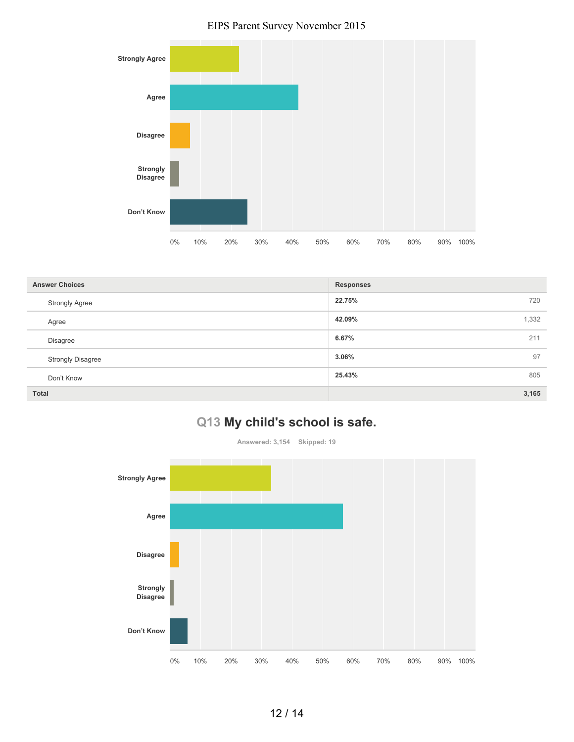

| <b>Answer Choices</b>    | <b>Responses</b> |
|--------------------------|------------------|
| <b>Strongly Agree</b>    | 22.75%<br>720    |
| Agree                    | 42.09%<br>1,332  |
| <b>Disagree</b>          | 6.67%<br>211     |
| <b>Strongly Disagree</b> | 97<br>3.06%      |
| Don't Know               | 25.43%<br>805    |
| <b>Total</b>             | 3,165            |

## **Q13 My child's school is safe.**

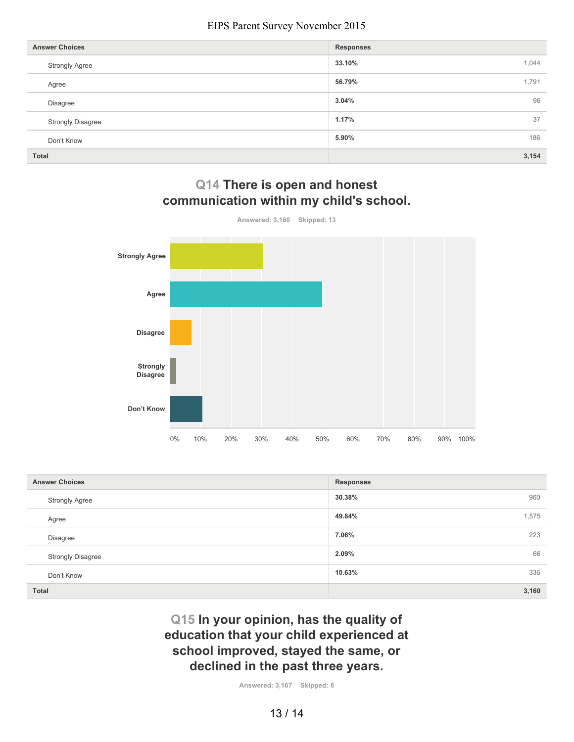| <b>Answer Choices</b>    | <b>Responses</b> |
|--------------------------|------------------|
| <b>Strongly Agree</b>    | 33.10%<br>1,044  |
| Agree                    | 56.79%<br>1,791  |
| Disagree                 | 96<br>3.04%      |
| <b>Strongly Disagree</b> | 37<br>1.17%      |
| Don't Know               | 186<br>5.90%     |
| <b>Total</b>             | 3,154            |



**Q14 There is open and honest communication within my child's school.**

| <b>Answer Choices</b>    | <b>Responses</b> |
|--------------------------|------------------|
| <b>Strongly Agree</b>    | 30.38%<br>960    |
| Agree                    | 49.84%<br>1,575  |
| Disagree                 | 7.06%<br>223     |
| <b>Strongly Disagree</b> | 2.09%<br>66      |
| Don't Know               | 10.63%<br>336    |
| Total                    | 3,160            |

## **Q15 In your opinion, has the quality of education that your child experienced at school improved, stayed the same, or declined in the past three years.**

**Answered: 3,167 Skipped: 6**